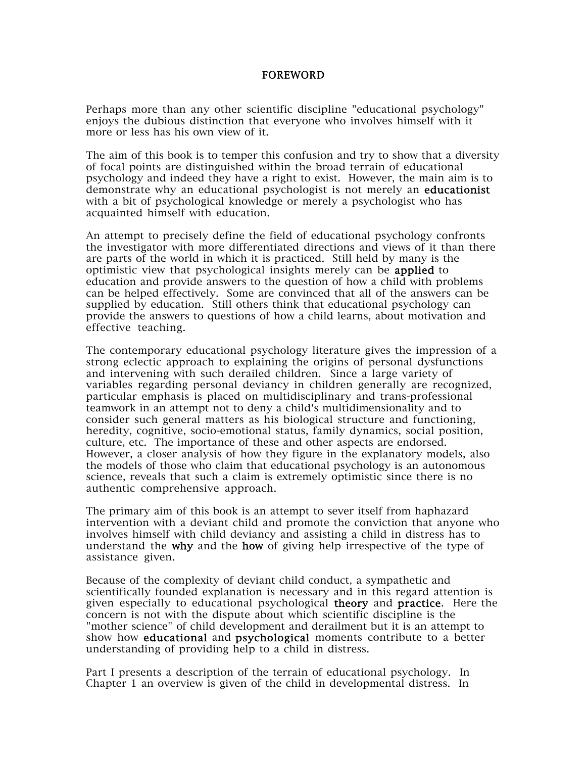## FOREWORD

Perhaps more than any other scientific discipline "educational psychology" enjoys the dubious distinction that everyone who involves himself with it more or less has his own view of it.

The aim of this book is to temper this confusion and try to show that a diversity of focal points are distinguished within the broad terrain of educational psychology and indeed they have a right to exist. However, the main aim is to demonstrate why an educational psychologist is not merely an educationist with a bit of psychological knowledge or merely a psychologist who has acquainted himself with education.

An attempt to precisely define the field of educational psychology confronts the investigator with more differentiated directions and views of it than there are parts of the world in which it is practiced. Still held by many is the optimistic view that psychological insights merely can be applied to education and provide answers to the question of how a child with problems can be helped effectively. Some are convinced that all of the answers can be supplied by education. Still others think that educational psychology can provide the answers to questions of how a child learns, about motivation and effective teaching.

The contemporary educational psychology literature gives the impression of a strong eclectic approach to explaining the origins of personal dysfunctions and intervening with such derailed children. Since a large variety of variables regarding personal deviancy in children generally are recognized, particular emphasis is placed on multidisciplinary and trans-professional teamwork in an attempt not to deny a child's multidimensionality and to consider such general matters as his biological structure and functioning, heredity, cognitive, socio-emotional status, family dynamics, social position, culture, etc. The importance of these and other aspects are endorsed. However, a closer analysis of how they figure in the explanatory models, also the models of those who claim that educational psychology is an autonomous science, reveals that such a claim is extremely optimistic since there is no authentic comprehensive approach.

The primary aim of this book is an attempt to sever itself from haphazard intervention with a deviant child and promote the conviction that anyone who involves himself with child deviancy and assisting a child in distress has to understand the why and the how of giving help irrespective of the type of assistance given.

Because of the complexity of deviant child conduct, a sympathetic and scientifically founded explanation is necessary and in this regard attention is given especially to educational psychological theory and practice. Here the concern is not with the dispute about which scientific discipline is the "mother science" of child development and derailment but it is an attempt to show how educational and psychological moments contribute to a better understanding of providing help to a child in distress.

Part I presents a description of the terrain of educational psychology. In Chapter 1 an overview is given of the child in developmental distress. In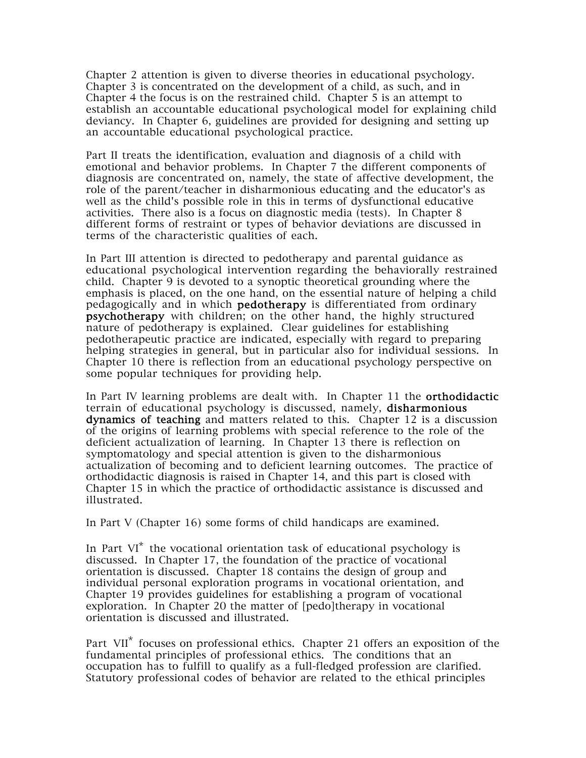Chapter 2 attention is given to diverse theories in educational psychology. Chapter 3 is concentrated on the development of a child, as such, and in Chapter 4 the focus is on the restrained child. Chapter 5 is an attempt to establish an accountable educational psychological model for explaining child deviancy. In Chapter 6, guidelines are provided for designing and setting up an accountable educational psychological practice.

Part II treats the identification, evaluation and diagnosis of a child with emotional and behavior problems. In Chapter 7 the different components of diagnosis are concentrated on, namely, the state of affective development, the role of the parent/teacher in disharmonious educating and the educator's as well as the child's possible role in this in terms of dysfunctional educative activities. There also is a focus on diagnostic media (tests). In Chapter 8 different forms of restraint or types of behavior deviations are discussed in terms of the characteristic qualities of each.

In Part III attention is directed to pedotherapy and parental guidance as educational psychological intervention regarding the behaviorally restrained child. Chapter 9 is devoted to a synoptic theoretical grounding where the emphasis is placed, on the one hand, on the essential nature of helping a child pedagogically and in which pedotherapy is differentiated from ordinary psychotherapy with children; on the other hand, the highly structured nature of pedotherapy is explained. Clear guidelines for establishing pedotherapeutic practice are indicated, especially with regard to preparing helping strategies in general, but in particular also for individual sessions. In Chapter 10 there is reflection from an educational psychology perspective on some popular techniques for providing help.

In Part IV learning problems are dealt with. In Chapter 11 the orthodidactic terrain of educational psychology is discussed, namely, disharmonious dynamics of teaching and matters related to this. Chapter 12 is a discussion of the origins of learning problems with special reference to the role of the deficient actualization of learning. In Chapter 13 there is reflection on symptomatology and special attention is given to the disharmonious actualization of becoming and to deficient learning outcomes. The practice of orthodidactic diagnosis is raised in Chapter 14, and this part is closed with Chapter 15 in which the practice of orthodidactic assistance is discussed and illustrated.

In Part V (Chapter 16) some forms of child handicaps are examined.

In Part  $VI^*$  the vocational orientation task of educational psychology is discussed. In Chapter 17, the foundation of the practice of vocational orientation is discussed. Chapter 18 contains the design of group and individual personal exploration programs in vocational orientation, and Chapter 19 provides guidelines for establishing a program of vocational exploration. In Chapter 20 the matter of [pedo]therapy in vocational orientation is discussed and illustrated.

Part VII<sup>\*</sup> focuses on professional ethics. Chapter 21 offers an exposition of the fundamental principles of professional ethics. The conditions that an occupation has to fulfill to qualify as a full-fledged profession are clarified. Statutory professional codes of behavior are related to the ethical principles